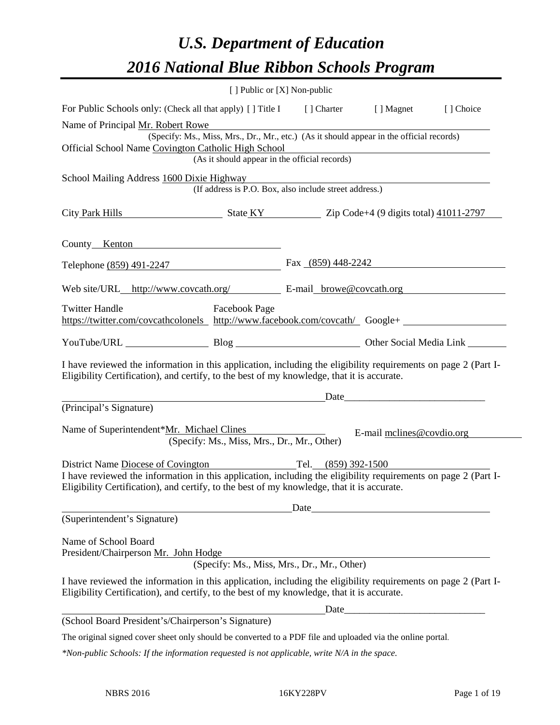# *U.S. Department of Education 2016 National Blue Ribbon Schools Program*

|                                                                                                                                                                                                                                                                                                                                                               | [ ] Public or [X] Non-public                |                                                                       |                           |  |  |
|---------------------------------------------------------------------------------------------------------------------------------------------------------------------------------------------------------------------------------------------------------------------------------------------------------------------------------------------------------------|---------------------------------------------|-----------------------------------------------------------------------|---------------------------|--|--|
| For Public Schools only: (Check all that apply) [] Title I [] Charter [] Magnet                                                                                                                                                                                                                                                                               |                                             |                                                                       | [] Choice                 |  |  |
| Name of Principal Mr. Robert Rowe<br>(Specify: Ms., Miss, Mrs., Dr., Mr., etc.) (As it should appear in the official records)<br>Official School Name Covington Catholic High School<br><u> 1989 - Johann Barn, mars ann an t-Amhain Aonaich an t-Aonaich an t-Aonaich ann an t-Aonaich ann an t-Aonaich</u><br>(As it should appear in the official records) |                                             |                                                                       |                           |  |  |
| School Mailing Address 1600 Dixie Highway                                                                                                                                                                                                                                                                                                                     |                                             | The Highway<br>(If address is P.O. Box, also include street address.) |                           |  |  |
| City Park Hills State KY Zip Code+4 (9 digits total) 41011-2797                                                                                                                                                                                                                                                                                               |                                             |                                                                       |                           |  |  |
| County Kenton                                                                                                                                                                                                                                                                                                                                                 |                                             |                                                                       |                           |  |  |
| Telephone (859) 491-2247                                                                                                                                                                                                                                                                                                                                      |                                             | Fax $(859)$ 448-2242                                                  |                           |  |  |
| Web site/URL_http://www.covcath.org/ E-mail_browe@covcath.org                                                                                                                                                                                                                                                                                                 |                                             |                                                                       |                           |  |  |
| <b>Twitter Handle</b><br>https://twitter.com/covcathcolonels http://www.facebook.com/covcath/ Google+                                                                                                                                                                                                                                                         | Facebook Page                               |                                                                       |                           |  |  |
|                                                                                                                                                                                                                                                                                                                                                               |                                             |                                                                       |                           |  |  |
| I have reviewed the information in this application, including the eligibility requirements on page 2 (Part I-<br>Eligibility Certification), and certify, to the best of my knowledge, that it is accurate.                                                                                                                                                  |                                             |                                                                       |                           |  |  |
| (Principal's Signature)                                                                                                                                                                                                                                                                                                                                       |                                             |                                                                       |                           |  |  |
| Name of Superintendent*Mr. Michael Clines<br>District Name Diocese of Covington Tel. (859) 392-1500<br>I have reviewed the information in this application, including the eligibility requirements on page 2 (Part I-                                                                                                                                         | (Specify: Ms., Miss, Mrs., Dr., Mr., Other) |                                                                       | E-mail melines@covdio.org |  |  |
| Eligibility Certification), and certify, to the best of my knowledge, that it is accurate.                                                                                                                                                                                                                                                                    |                                             |                                                                       |                           |  |  |
|                                                                                                                                                                                                                                                                                                                                                               |                                             | Date                                                                  |                           |  |  |
| (Superintendent's Signature)                                                                                                                                                                                                                                                                                                                                  |                                             |                                                                       |                           |  |  |
| Name of School Board<br>President/Chairperson Mr. John Hodge                                                                                                                                                                                                                                                                                                  |                                             |                                                                       |                           |  |  |
|                                                                                                                                                                                                                                                                                                                                                               |                                             | (Specify: Ms., Miss, Mrs., Dr., Mr., Other)                           |                           |  |  |
| I have reviewed the information in this application, including the eligibility requirements on page 2 (Part I-<br>Eligibility Certification), and certify, to the best of my knowledge, that it is accurate.                                                                                                                                                  |                                             |                                                                       |                           |  |  |
| (School Board President's/Chairperson's Signature)                                                                                                                                                                                                                                                                                                            |                                             |                                                                       |                           |  |  |
| The original signed cover sheet only should be converted to a PDF file and uploaded via the online portal.                                                                                                                                                                                                                                                    |                                             |                                                                       |                           |  |  |
|                                                                                                                                                                                                                                                                                                                                                               |                                             |                                                                       |                           |  |  |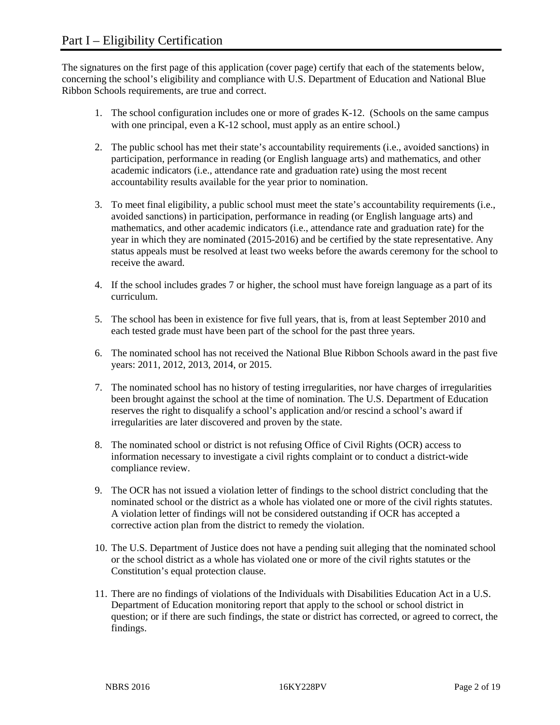The signatures on the first page of this application (cover page) certify that each of the statements below, concerning the school's eligibility and compliance with U.S. Department of Education and National Blue Ribbon Schools requirements, are true and correct.

- 1. The school configuration includes one or more of grades K-12. (Schools on the same campus with one principal, even a K-12 school, must apply as an entire school.)
- 2. The public school has met their state's accountability requirements (i.e., avoided sanctions) in participation, performance in reading (or English language arts) and mathematics, and other academic indicators (i.e., attendance rate and graduation rate) using the most recent accountability results available for the year prior to nomination.
- 3. To meet final eligibility, a public school must meet the state's accountability requirements (i.e., avoided sanctions) in participation, performance in reading (or English language arts) and mathematics, and other academic indicators (i.e., attendance rate and graduation rate) for the year in which they are nominated (2015-2016) and be certified by the state representative. Any status appeals must be resolved at least two weeks before the awards ceremony for the school to receive the award.
- 4. If the school includes grades 7 or higher, the school must have foreign language as a part of its curriculum.
- 5. The school has been in existence for five full years, that is, from at least September 2010 and each tested grade must have been part of the school for the past three years.
- 6. The nominated school has not received the National Blue Ribbon Schools award in the past five years: 2011, 2012, 2013, 2014, or 2015.
- 7. The nominated school has no history of testing irregularities, nor have charges of irregularities been brought against the school at the time of nomination. The U.S. Department of Education reserves the right to disqualify a school's application and/or rescind a school's award if irregularities are later discovered and proven by the state.
- 8. The nominated school or district is not refusing Office of Civil Rights (OCR) access to information necessary to investigate a civil rights complaint or to conduct a district-wide compliance review.
- 9. The OCR has not issued a violation letter of findings to the school district concluding that the nominated school or the district as a whole has violated one or more of the civil rights statutes. A violation letter of findings will not be considered outstanding if OCR has accepted a corrective action plan from the district to remedy the violation.
- 10. The U.S. Department of Justice does not have a pending suit alleging that the nominated school or the school district as a whole has violated one or more of the civil rights statutes or the Constitution's equal protection clause.
- 11. There are no findings of violations of the Individuals with Disabilities Education Act in a U.S. Department of Education monitoring report that apply to the school or school district in question; or if there are such findings, the state or district has corrected, or agreed to correct, the findings.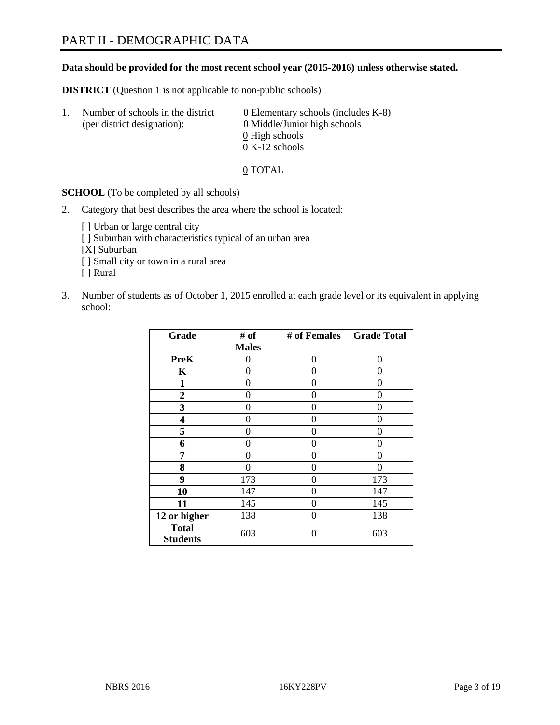#### **Data should be provided for the most recent school year (2015-2016) unless otherwise stated.**

**DISTRICT** (Question 1 is not applicable to non-public schools)

| $\perp$ . | Number of schools in the district<br>(per district designation): | $\underline{0}$ Elementary schools (includes K-8)<br>0 Middle/Junior high schools |
|-----------|------------------------------------------------------------------|-----------------------------------------------------------------------------------|
|           |                                                                  | 0 High schools                                                                    |
|           |                                                                  | $0 K-12$ schools                                                                  |

0 TOTAL

**SCHOOL** (To be completed by all schools)

- 2. Category that best describes the area where the school is located:
	- [] Urban or large central city [ ] Suburban with characteristics typical of an urban area [X] Suburban [ ] Small city or town in a rural area [ ] Rural
- 3. Number of students as of October 1, 2015 enrolled at each grade level or its equivalent in applying school:

| Grade                           | # of         | # of Females | <b>Grade Total</b> |
|---------------------------------|--------------|--------------|--------------------|
|                                 | <b>Males</b> |              |                    |
| <b>PreK</b>                     | 0            | $\theta$     | 0                  |
| K                               | 0            | 0            | $\mathbf{\Omega}$  |
| 1                               | 0            | 0            | 0                  |
| $\overline{2}$                  | 0            | 0            | 0                  |
| 3                               | 0            | 0            | 0                  |
| 4                               | 0            | 0            | 0                  |
| 5                               | 0            | 0            | 0                  |
| 6                               | 0            | 0            | $\mathbf{\Omega}$  |
| 7                               | 0            | 0            | 0                  |
| 8                               | 0            | 0            | 0                  |
| 9                               | 173          | 0            | 173                |
| 10                              | 147          | 0            | 147                |
| 11                              | 145          | 0            | 145                |
| 12 or higher                    | 138          | 0            | 138                |
| <b>Total</b><br><b>Students</b> | 603          | 0            | 603                |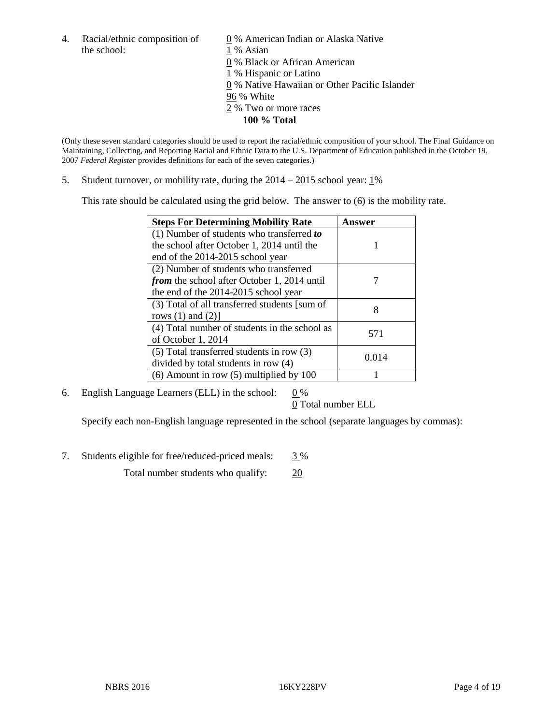4. Racial/ethnic composition of  $\qquad 0\%$  American Indian or Alaska Native the school: 1 % Asian

 0 % Black or African American 1 % Hispanic or Latino 0 % Native Hawaiian or Other Pacific Islander 96 % White 2 % Two or more races **100 % Total** 

(Only these seven standard categories should be used to report the racial/ethnic composition of your school. The Final Guidance on Maintaining, Collecting, and Reporting Racial and Ethnic Data to the U.S. Department of Education published in the October 19, 2007 *Federal Register* provides definitions for each of the seven categories.)

5. Student turnover, or mobility rate, during the  $2014 - 2015$  school year:  $1\%$ 

This rate should be calculated using the grid below. The answer to (6) is the mobility rate.

| <b>Steps For Determining Mobility Rate</b>         | <b>Answer</b> |
|----------------------------------------------------|---------------|
| (1) Number of students who transferred to          |               |
| the school after October 1, 2014 until the         |               |
| end of the 2014-2015 school year                   |               |
| (2) Number of students who transferred             |               |
| <i>from</i> the school after October 1, 2014 until |               |
| the end of the 2014-2015 school year               |               |
| (3) Total of all transferred students [sum of      | 8             |
| rows $(1)$ and $(2)$ ]                             |               |
| (4) Total number of students in the school as      | 571           |
| of October 1, 2014                                 |               |
| $(5)$ Total transferred students in row $(3)$      | 0.014         |
| divided by total students in row (4)               |               |
| $(6)$ Amount in row $(5)$ multiplied by 100        |               |

6. English Language Learners (ELL) in the school:  $0\%$ 

0 Total number ELL

Specify each non-English language represented in the school (separate languages by commas):

7. Students eligible for free/reduced-priced meals: 3 %

Total number students who qualify: 20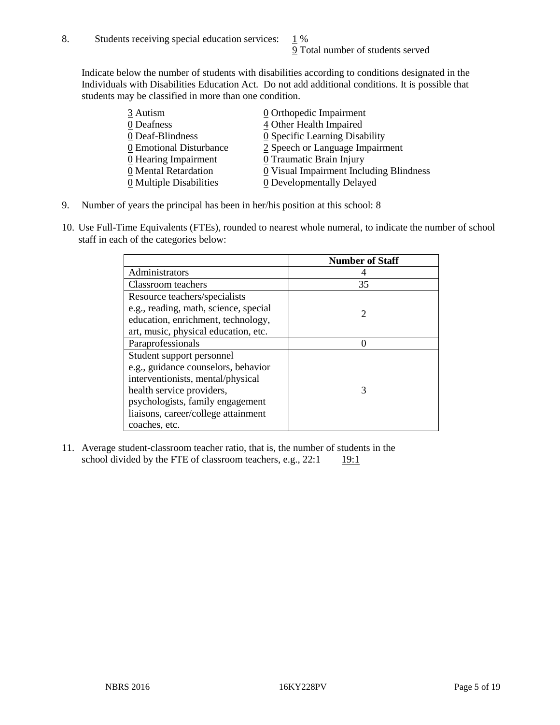Indicate below the number of students with disabilities according to conditions designated in the Individuals with Disabilities Education Act. Do not add additional conditions. It is possible that students may be classified in more than one condition.

| 3 Autism                              | 0 Orthopedic Impairment                 |
|---------------------------------------|-----------------------------------------|
| 0 Deafness                            | 4 Other Health Impaired                 |
| 0 Deaf-Blindness                      | 0 Specific Learning Disability          |
| 0 Emotional Disturbance               | 2 Speech or Language Impairment         |
| 0 Hearing Impairment                  | 0 Traumatic Brain Injury                |
| 0 Mental Retardation                  | 0 Visual Impairment Including Blindness |
| $\underline{0}$ Multiple Disabilities | <b>0</b> Developmentally Delayed        |

- 9. Number of years the principal has been in her/his position at this school:  $8$
- 10. Use Full-Time Equivalents (FTEs), rounded to nearest whole numeral, to indicate the number of school staff in each of the categories below:

|                                       | <b>Number of Staff</b>      |
|---------------------------------------|-----------------------------|
| Administrators                        |                             |
| Classroom teachers                    | 35                          |
| Resource teachers/specialists         |                             |
| e.g., reading, math, science, special | $\mathcal{D}_{\mathcal{L}}$ |
| education, enrichment, technology,    |                             |
| art, music, physical education, etc.  |                             |
| Paraprofessionals                     |                             |
| Student support personnel             |                             |
| e.g., guidance counselors, behavior   |                             |
| interventionists, mental/physical     |                             |
| health service providers,             | 3                           |
| psychologists, family engagement      |                             |
| liaisons, career/college attainment   |                             |
| coaches, etc.                         |                             |

11. Average student-classroom teacher ratio, that is, the number of students in the school divided by the FTE of classroom teachers, e.g.,  $22:1$  19:1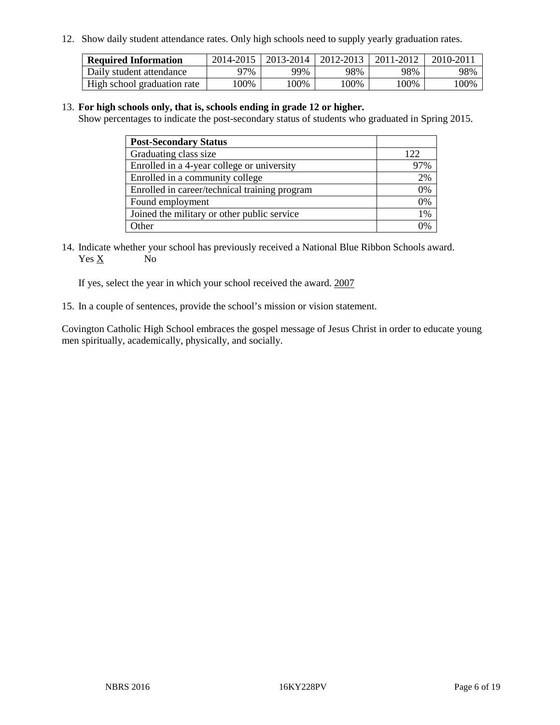12. Show daily student attendance rates. Only high schools need to supply yearly graduation rates.

| <b>Required Information</b> | 2014-2015 | 2013-2014 | 2012-2013 | 2011-2012 | 2010-2011 |
|-----------------------------|-----------|-----------|-----------|-----------|-----------|
| Daily student attendance    | 97%       | 99%       | 98%       | 98%       | 98%       |
| High school graduation rate | .00%      | 00%       | $00\%$    | $00\%$    | 100%      |

#### 13. **For high schools only, that is, schools ending in grade 12 or higher.**

Show percentages to indicate the post-secondary status of students who graduated in Spring 2015.

| <b>Post-Secondary Status</b>                  |     |
|-----------------------------------------------|-----|
| Graduating class size                         | 122 |
| Enrolled in a 4-year college or university    | 97% |
| Enrolled in a community college               | 2%  |
| Enrolled in career/technical training program | 0%  |
| Found employment                              | 0%  |
| Joined the military or other public service   | 1%  |
| Other                                         | 0/  |

14. Indicate whether your school has previously received a National Blue Ribbon Schools award.<br>Yes  $\underline{X}$  No  $Yes X$ 

If yes, select the year in which your school received the award. 2007

15. In a couple of sentences, provide the school's mission or vision statement.

Covington Catholic High School embraces the gospel message of Jesus Christ in order to educate young men spiritually, academically, physically, and socially.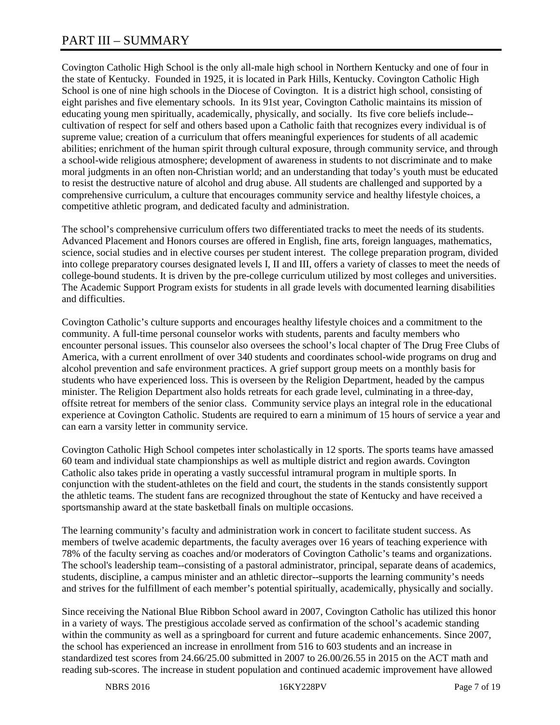# PART III – SUMMARY

Covington Catholic High School is the only all-male high school in Northern Kentucky and one of four in the state of Kentucky. Founded in 1925, it is located in Park Hills, Kentucky. Covington Catholic High School is one of nine high schools in the Diocese of Covington. It is a district high school, consisting of eight parishes and five elementary schools. In its 91st year, Covington Catholic maintains its mission of educating young men spiritually, academically, physically, and socially. Its five core beliefs include- cultivation of respect for self and others based upon a Catholic faith that recognizes every individual is of supreme value; creation of a curriculum that offers meaningful experiences for students of all academic abilities; enrichment of the human spirit through cultural exposure, through community service, and through a school-wide religious atmosphere; development of awareness in students to not discriminate and to make moral judgments in an often non-Christian world; and an understanding that today's youth must be educated to resist the destructive nature of alcohol and drug abuse. All students are challenged and supported by a comprehensive curriculum, a culture that encourages community service and healthy lifestyle choices, a competitive athletic program, and dedicated faculty and administration.

The school's comprehensive curriculum offers two differentiated tracks to meet the needs of its students. Advanced Placement and Honors courses are offered in English, fine arts, foreign languages, mathematics, science, social studies and in elective courses per student interest. The college preparation program, divided into college preparatory courses designated levels I, II and III, offers a variety of classes to meet the needs of college-bound students. It is driven by the pre-college curriculum utilized by most colleges and universities. The Academic Support Program exists for students in all grade levels with documented learning disabilities and difficulties.

Covington Catholic's culture supports and encourages healthy lifestyle choices and a commitment to the community. A full-time personal counselor works with students, parents and faculty members who encounter personal issues. This counselor also oversees the school's local chapter of The Drug Free Clubs of America, with a current enrollment of over 340 students and coordinates school-wide programs on drug and alcohol prevention and safe environment practices. A grief support group meets on a monthly basis for students who have experienced loss. This is overseen by the Religion Department, headed by the campus minister. The Religion Department also holds retreats for each grade level, culminating in a three-day, offsite retreat for members of the senior class. Community service plays an integral role in the educational experience at Covington Catholic. Students are required to earn a minimum of 15 hours of service a year and can earn a varsity letter in community service.

Covington Catholic High School competes inter scholastically in 12 sports. The sports teams have amassed 60 team and individual state championships as well as multiple district and region awards. Covington Catholic also takes pride in operating a vastly successful intramural program in multiple sports. In conjunction with the student-athletes on the field and court, the students in the stands consistently support the athletic teams. The student fans are recognized throughout the state of Kentucky and have received a sportsmanship award at the state basketball finals on multiple occasions.

The learning community's faculty and administration work in concert to facilitate student success. As members of twelve academic departments, the faculty averages over 16 years of teaching experience with 78% of the faculty serving as coaches and/or moderators of Covington Catholic's teams and organizations. The school's leadership team--consisting of a pastoral administrator, principal, separate deans of academics, students, discipline, a campus minister and an athletic director--supports the learning community's needs and strives for the fulfillment of each member's potential spiritually, academically, physically and socially.

Since receiving the National Blue Ribbon School award in 2007, Covington Catholic has utilized this honor in a variety of ways. The prestigious accolade served as confirmation of the school's academic standing within the community as well as a springboard for current and future academic enhancements. Since 2007, the school has experienced an increase in enrollment from 516 to 603 students and an increase in standardized test scores from 24.66/25.00 submitted in 2007 to 26.00/26.55 in 2015 on the ACT math and reading sub-scores. The increase in student population and continued academic improvement have allowed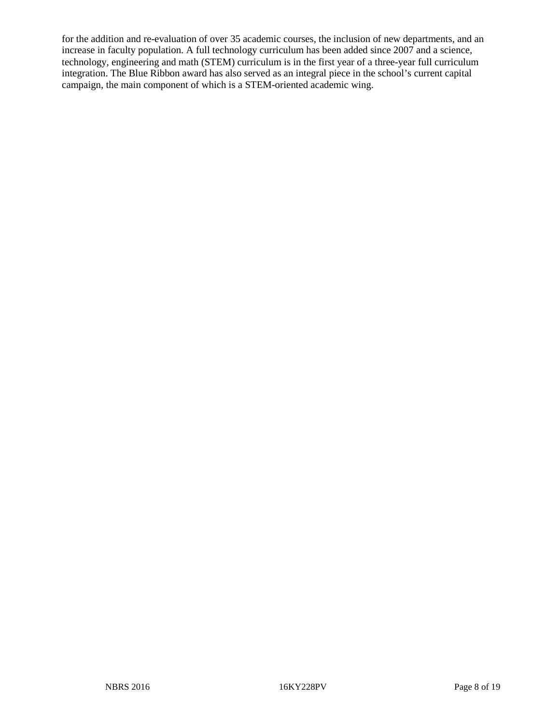for the addition and re-evaluation of over 35 academic courses, the inclusion of new departments, and an increase in faculty population. A full technology curriculum has been added since 2007 and a science, technology, engineering and math (STEM) curriculum is in the first year of a three-year full curriculum integration. The Blue Ribbon award has also served as an integral piece in the school's current capital campaign, the main component of which is a STEM-oriented academic wing.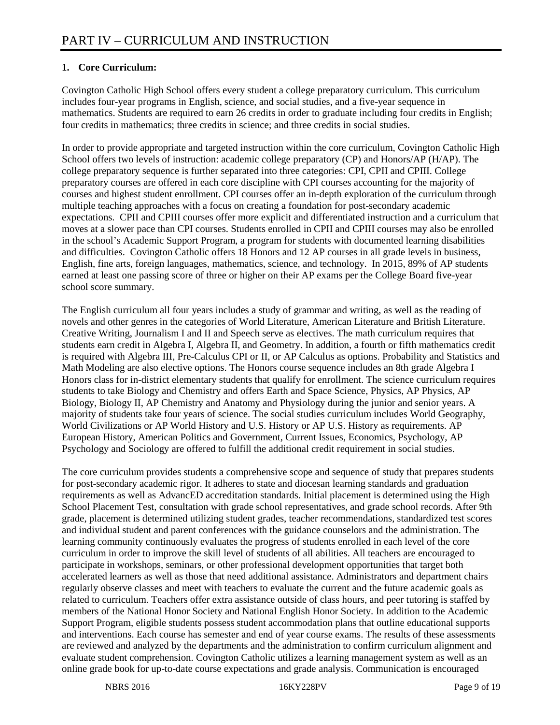## **1. Core Curriculum:**

Covington Catholic High School offers every student a college preparatory curriculum. This curriculum includes four-year programs in English, science, and social studies, and a five-year sequence in mathematics. Students are required to earn 26 credits in order to graduate including four credits in English; four credits in mathematics; three credits in science; and three credits in social studies.

In order to provide appropriate and targeted instruction within the core curriculum, Covington Catholic High School offers two levels of instruction: academic college preparatory (CP) and Honors/AP (H/AP). The college preparatory sequence is further separated into three categories: CPI, CPII and CPIII. College preparatory courses are offered in each core discipline with CPI courses accounting for the majority of courses and highest student enrollment. CPI courses offer an in-depth exploration of the curriculum through multiple teaching approaches with a focus on creating a foundation for post-secondary academic expectations. CPII and CPIII courses offer more explicit and differentiated instruction and a curriculum that moves at a slower pace than CPI courses. Students enrolled in CPII and CPIII courses may also be enrolled in the school's Academic Support Program, a program for students with documented learning disabilities and difficulties. Covington Catholic offers 18 Honors and 12 AP courses in all grade levels in business, English, fine arts, foreign languages, mathematics, science, and technology. In 2015, 89% of AP students earned at least one passing score of three or higher on their AP exams per the College Board five-year school score summary.

The English curriculum all four years includes a study of grammar and writing, as well as the reading of novels and other genres in the categories of World Literature, American Literature and British Literature. Creative Writing, Journalism I and II and Speech serve as electives. The math curriculum requires that students earn credit in Algebra I, Algebra II, and Geometry. In addition, a fourth or fifth mathematics credit is required with Algebra III, Pre-Calculus CPI or II, or AP Calculus as options. Probability and Statistics and Math Modeling are also elective options. The Honors course sequence includes an 8th grade Algebra I Honors class for in-district elementary students that qualify for enrollment. The science curriculum requires students to take Biology and Chemistry and offers Earth and Space Science, Physics, AP Physics, AP Biology, Biology II, AP Chemistry and Anatomy and Physiology during the junior and senior years. A majority of students take four years of science. The social studies curriculum includes World Geography, World Civilizations or AP World History and U.S. History or AP U.S. History as requirements. AP European History, American Politics and Government, Current Issues, Economics, Psychology, AP Psychology and Sociology are offered to fulfill the additional credit requirement in social studies.

The core curriculum provides students a comprehensive scope and sequence of study that prepares students for post-secondary academic rigor. It adheres to state and diocesan learning standards and graduation requirements as well as AdvancED accreditation standards. Initial placement is determined using the High School Placement Test, consultation with grade school representatives, and grade school records. After 9th grade, placement is determined utilizing student grades, teacher recommendations, standardized test scores and individual student and parent conferences with the guidance counselors and the administration. The learning community continuously evaluates the progress of students enrolled in each level of the core curriculum in order to improve the skill level of students of all abilities. All teachers are encouraged to participate in workshops, seminars, or other professional development opportunities that target both accelerated learners as well as those that need additional assistance. Administrators and department chairs regularly observe classes and meet with teachers to evaluate the current and the future academic goals as related to curriculum. Teachers offer extra assistance outside of class hours, and peer tutoring is staffed by members of the National Honor Society and National English Honor Society. In addition to the Academic Support Program, eligible students possess student accommodation plans that outline educational supports and interventions. Each course has semester and end of year course exams. The results of these assessments are reviewed and analyzed by the departments and the administration to confirm curriculum alignment and evaluate student comprehension. Covington Catholic utilizes a learning management system as well as an online grade book for up-to-date course expectations and grade analysis. Communication is encouraged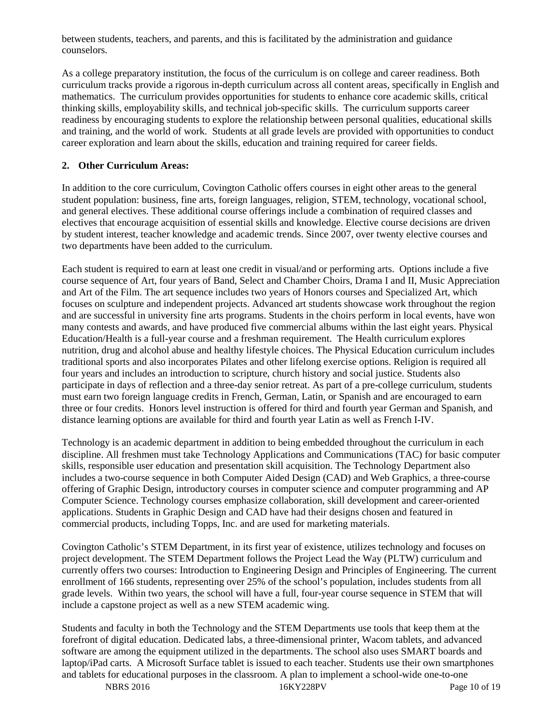between students, teachers, and parents, and this is facilitated by the administration and guidance counselors.

As a college preparatory institution, the focus of the curriculum is on college and career readiness. Both curriculum tracks provide a rigorous in-depth curriculum across all content areas, specifically in English and mathematics. The curriculum provides opportunities for students to enhance core academic skills, critical thinking skills, employability skills, and technical job-specific skills. The curriculum supports career readiness by encouraging students to explore the relationship between personal qualities, educational skills and training, and the world of work. Students at all grade levels are provided with opportunities to conduct career exploration and learn about the skills, education and training required for career fields.

# **2. Other Curriculum Areas:**

In addition to the core curriculum, Covington Catholic offers courses in eight other areas to the general student population: business, fine arts, foreign languages, religion, STEM, technology, vocational school, and general electives. These additional course offerings include a combination of required classes and electives that encourage acquisition of essential skills and knowledge. Elective course decisions are driven by student interest, teacher knowledge and academic trends. Since 2007, over twenty elective courses and two departments have been added to the curriculum.

Each student is required to earn at least one credit in visual/and or performing arts. Options include a five course sequence of Art, four years of Band, Select and Chamber Choirs, Drama I and II, Music Appreciation and Art of the Film. The art sequence includes two years of Honors courses and Specialized Art, which focuses on sculpture and independent projects. Advanced art students showcase work throughout the region and are successful in university fine arts programs. Students in the choirs perform in local events, have won many contests and awards, and have produced five commercial albums within the last eight years. Physical Education/Health is a full-year course and a freshman requirement. The Health curriculum explores nutrition, drug and alcohol abuse and healthy lifestyle choices. The Physical Education curriculum includes traditional sports and also incorporates Pilates and other lifelong exercise options. Religion is required all four years and includes an introduction to scripture, church history and social justice. Students also participate in days of reflection and a three-day senior retreat. As part of a pre-college curriculum, students must earn two foreign language credits in French, German, Latin, or Spanish and are encouraged to earn three or four credits. Honors level instruction is offered for third and fourth year German and Spanish, and distance learning options are available for third and fourth year Latin as well as French I-IV.

Technology is an academic department in addition to being embedded throughout the curriculum in each discipline. All freshmen must take Technology Applications and Communications (TAC) for basic computer skills, responsible user education and presentation skill acquisition. The Technology Department also includes a two-course sequence in both Computer Aided Design (CAD) and Web Graphics, a three-course offering of Graphic Design, introductory courses in computer science and computer programming and AP Computer Science. Technology courses emphasize collaboration, skill development and career-oriented applications. Students in Graphic Design and CAD have had their designs chosen and featured in commercial products, including Topps, Inc. and are used for marketing materials.

Covington Catholic's STEM Department, in its first year of existence, utilizes technology and focuses on project development. The STEM Department follows the Project Lead the Way (PLTW) curriculum and currently offers two courses: Introduction to Engineering Design and Principles of Engineering. The current enrollment of 166 students, representing over 25% of the school's population, includes students from all grade levels. Within two years, the school will have a full, four-year course sequence in STEM that will include a capstone project as well as a new STEM academic wing.

Students and faculty in both the Technology and the STEM Departments use tools that keep them at the forefront of digital education. Dedicated labs, a three-dimensional printer, Wacom tablets, and advanced software are among the equipment utilized in the departments. The school also uses SMART boards and laptop/iPad carts. A Microsoft Surface tablet is issued to each teacher. Students use their own smartphones and tablets for educational purposes in the classroom. A plan to implement a school-wide one-to-one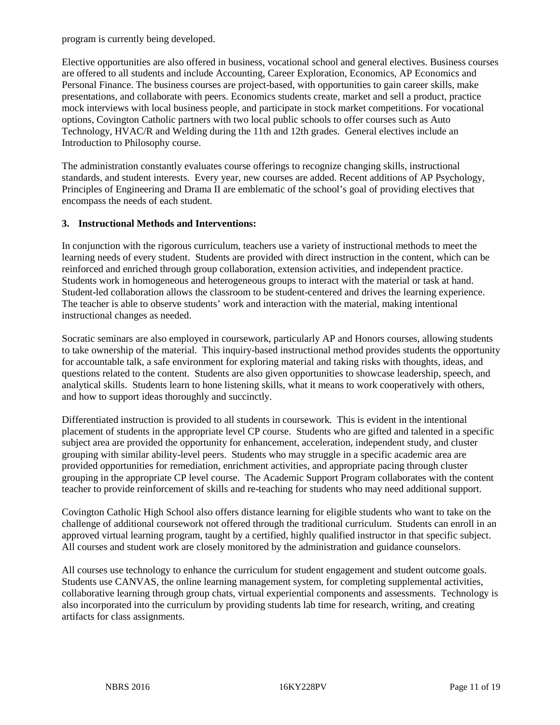program is currently being developed.

Elective opportunities are also offered in business, vocational school and general electives. Business courses are offered to all students and include Accounting, Career Exploration, Economics, AP Economics and Personal Finance. The business courses are project-based, with opportunities to gain career skills, make presentations, and collaborate with peers. Economics students create, market and sell a product, practice mock interviews with local business people, and participate in stock market competitions. For vocational options, Covington Catholic partners with two local public schools to offer courses such as Auto Technology, HVAC/R and Welding during the 11th and 12th grades. General electives include an Introduction to Philosophy course.

The administration constantly evaluates course offerings to recognize changing skills, instructional standards, and student interests. Every year, new courses are added. Recent additions of AP Psychology, Principles of Engineering and Drama II are emblematic of the school's goal of providing electives that encompass the needs of each student.

#### **3. Instructional Methods and Interventions:**

In conjunction with the rigorous curriculum, teachers use a variety of instructional methods to meet the learning needs of every student. Students are provided with direct instruction in the content, which can be reinforced and enriched through group collaboration, extension activities, and independent practice. Students work in homogeneous and heterogeneous groups to interact with the material or task at hand. Student-led collaboration allows the classroom to be student-centered and drives the learning experience. The teacher is able to observe students' work and interaction with the material, making intentional instructional changes as needed.

Socratic seminars are also employed in coursework, particularly AP and Honors courses, allowing students to take ownership of the material. This inquiry-based instructional method provides students the opportunity for accountable talk, a safe environment for exploring material and taking risks with thoughts, ideas, and questions related to the content. Students are also given opportunities to showcase leadership, speech, and analytical skills. Students learn to hone listening skills, what it means to work cooperatively with others, and how to support ideas thoroughly and succinctly.

Differentiated instruction is provided to all students in coursework. This is evident in the intentional placement of students in the appropriate level CP course. Students who are gifted and talented in a specific subject area are provided the opportunity for enhancement, acceleration, independent study, and cluster grouping with similar ability-level peers. Students who may struggle in a specific academic area are provided opportunities for remediation, enrichment activities, and appropriate pacing through cluster grouping in the appropriate CP level course. The Academic Support Program collaborates with the content teacher to provide reinforcement of skills and re-teaching for students who may need additional support.

Covington Catholic High School also offers distance learning for eligible students who want to take on the challenge of additional coursework not offered through the traditional curriculum. Students can enroll in an approved virtual learning program, taught by a certified, highly qualified instructor in that specific subject. All courses and student work are closely monitored by the administration and guidance counselors.

All courses use technology to enhance the curriculum for student engagement and student outcome goals. Students use CANVAS, the online learning management system, for completing supplemental activities, collaborative learning through group chats, virtual experiential components and assessments. Technology is also incorporated into the curriculum by providing students lab time for research, writing, and creating artifacts for class assignments.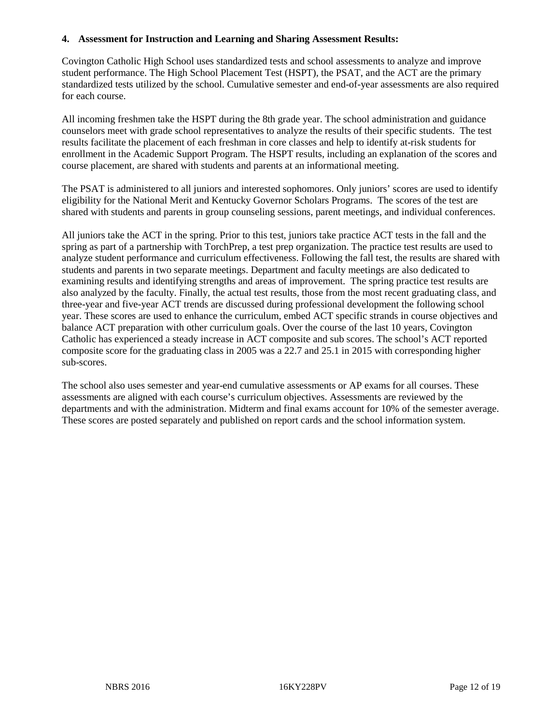#### **4. Assessment for Instruction and Learning and Sharing Assessment Results:**

Covington Catholic High School uses standardized tests and school assessments to analyze and improve student performance. The High School Placement Test (HSPT), the PSAT, and the ACT are the primary standardized tests utilized by the school. Cumulative semester and end-of-year assessments are also required for each course.

All incoming freshmen take the HSPT during the 8th grade year. The school administration and guidance counselors meet with grade school representatives to analyze the results of their specific students. The test results facilitate the placement of each freshman in core classes and help to identify at-risk students for enrollment in the Academic Support Program. The HSPT results, including an explanation of the scores and course placement, are shared with students and parents at an informational meeting.

The PSAT is administered to all juniors and interested sophomores. Only juniors' scores are used to identify eligibility for the National Merit and Kentucky Governor Scholars Programs. The scores of the test are shared with students and parents in group counseling sessions, parent meetings, and individual conferences.

All juniors take the ACT in the spring. Prior to this test, juniors take practice ACT tests in the fall and the spring as part of a partnership with TorchPrep, a test prep organization. The practice test results are used to analyze student performance and curriculum effectiveness. Following the fall test, the results are shared with students and parents in two separate meetings. Department and faculty meetings are also dedicated to examining results and identifying strengths and areas of improvement. The spring practice test results are also analyzed by the faculty. Finally, the actual test results, those from the most recent graduating class, and three-year and five-year ACT trends are discussed during professional development the following school year. These scores are used to enhance the curriculum, embed ACT specific strands in course objectives and balance ACT preparation with other curriculum goals. Over the course of the last 10 years, Covington Catholic has experienced a steady increase in ACT composite and sub scores. The school's ACT reported composite score for the graduating class in 2005 was a 22.7 and 25.1 in 2015 with corresponding higher sub-scores.

The school also uses semester and year-end cumulative assessments or AP exams for all courses. These assessments are aligned with each course's curriculum objectives. Assessments are reviewed by the departments and with the administration. Midterm and final exams account for 10% of the semester average. These scores are posted separately and published on report cards and the school information system.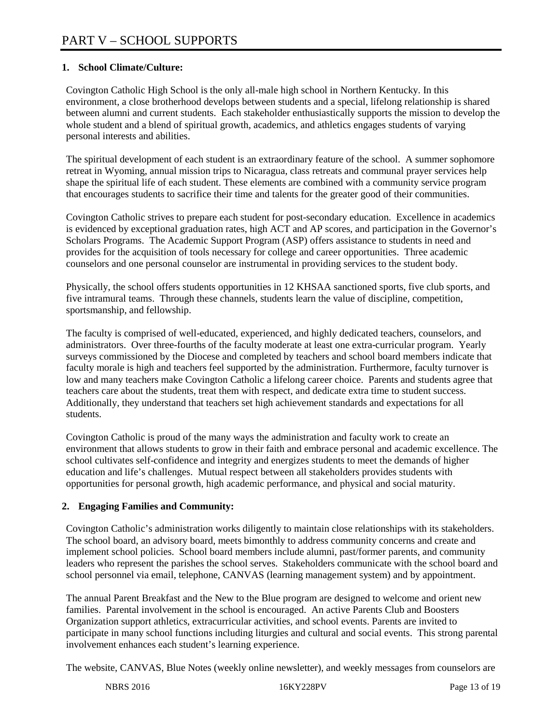## **1. School Climate/Culture:**

Covington Catholic High School is the only all-male high school in Northern Kentucky. In this environment, a close brotherhood develops between students and a special, lifelong relationship is shared between alumni and current students. Each stakeholder enthusiastically supports the mission to develop the whole student and a blend of spiritual growth, academics, and athletics engages students of varying personal interests and abilities.

The spiritual development of each student is an extraordinary feature of the school. A summer sophomore retreat in Wyoming, annual mission trips to Nicaragua, class retreats and communal prayer services help shape the spiritual life of each student. These elements are combined with a community service program that encourages students to sacrifice their time and talents for the greater good of their communities.

Covington Catholic strives to prepare each student for post-secondary education. Excellence in academics is evidenced by exceptional graduation rates, high ACT and AP scores, and participation in the Governor's Scholars Programs. The Academic Support Program (ASP) offers assistance to students in need and provides for the acquisition of tools necessary for college and career opportunities. Three academic counselors and one personal counselor are instrumental in providing services to the student body.

Physically, the school offers students opportunities in 12 KHSAA sanctioned sports, five club sports, and five intramural teams. Through these channels, students learn the value of discipline, competition, sportsmanship, and fellowship.

The faculty is comprised of well-educated, experienced, and highly dedicated teachers, counselors, and administrators. Over three-fourths of the faculty moderate at least one extra-curricular program. Yearly surveys commissioned by the Diocese and completed by teachers and school board members indicate that faculty morale is high and teachers feel supported by the administration. Furthermore, faculty turnover is low and many teachers make Covington Catholic a lifelong career choice. Parents and students agree that teachers care about the students, treat them with respect, and dedicate extra time to student success. Additionally, they understand that teachers set high achievement standards and expectations for all students.

Covington Catholic is proud of the many ways the administration and faculty work to create an environment that allows students to grow in their faith and embrace personal and academic excellence. The school cultivates self-confidence and integrity and energizes students to meet the demands of higher education and life's challenges. Mutual respect between all stakeholders provides students with opportunities for personal growth, high academic performance, and physical and social maturity.

# **2. Engaging Families and Community:**

Covington Catholic's administration works diligently to maintain close relationships with its stakeholders. The school board, an advisory board, meets bimonthly to address community concerns and create and implement school policies. School board members include alumni, past/former parents, and community leaders who represent the parishes the school serves. Stakeholders communicate with the school board and school personnel via email, telephone, CANVAS (learning management system) and by appointment.

The annual Parent Breakfast and the New to the Blue program are designed to welcome and orient new families. Parental involvement in the school is encouraged. An active Parents Club and Boosters Organization support athletics, extracurricular activities, and school events. Parents are invited to participate in many school functions including liturgies and cultural and social events. This strong parental involvement enhances each student's learning experience.

The website, CANVAS, Blue Notes (weekly online newsletter), and weekly messages from counselors are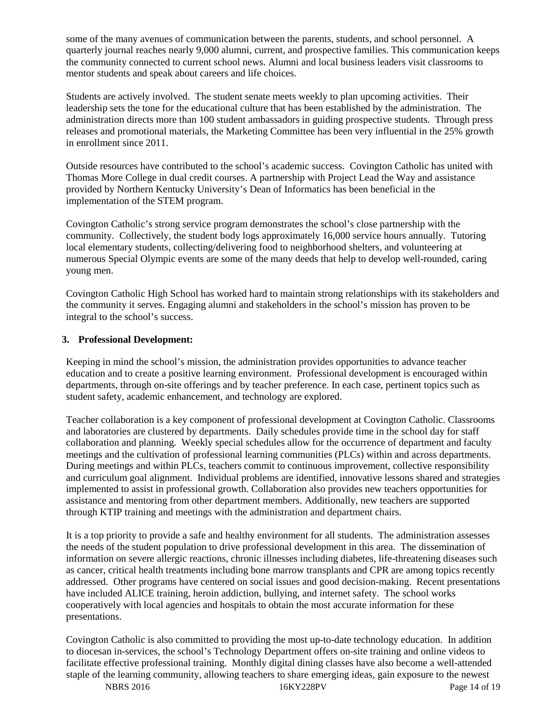some of the many avenues of communication between the parents, students, and school personnel. A quarterly journal reaches nearly 9,000 alumni, current, and prospective families. This communication keeps the community connected to current school news. Alumni and local business leaders visit classrooms to mentor students and speak about careers and life choices.

Students are actively involved. The student senate meets weekly to plan upcoming activities. Their leadership sets the tone for the educational culture that has been established by the administration. The administration directs more than 100 student ambassadors in guiding prospective students. Through press releases and promotional materials, the Marketing Committee has been very influential in the 25% growth in enrollment since 2011.

Outside resources have contributed to the school's academic success. Covington Catholic has united with Thomas More College in dual credit courses. A partnership with Project Lead the Way and assistance provided by Northern Kentucky University's Dean of Informatics has been beneficial in the implementation of the STEM program.

Covington Catholic's strong service program demonstrates the school's close partnership with the community. Collectively, the student body logs approximately 16,000 service hours annually. Tutoring local elementary students, collecting/delivering food to neighborhood shelters, and volunteering at numerous Special Olympic events are some of the many deeds that help to develop well-rounded, caring young men.

Covington Catholic High School has worked hard to maintain strong relationships with its stakeholders and the community it serves. Engaging alumni and stakeholders in the school's mission has proven to be integral to the school's success.

#### **3. Professional Development:**

Keeping in mind the school's mission, the administration provides opportunities to advance teacher education and to create a positive learning environment. Professional development is encouraged within departments, through on-site offerings and by teacher preference. In each case, pertinent topics such as student safety, academic enhancement, and technology are explored.

Teacher collaboration is a key component of professional development at Covington Catholic. Classrooms and laboratories are clustered by departments. Daily schedules provide time in the school day for staff collaboration and planning. Weekly special schedules allow for the occurrence of department and faculty meetings and the cultivation of professional learning communities (PLCs) within and across departments. During meetings and within PLCs, teachers commit to continuous improvement, collective responsibility and curriculum goal alignment. Individual problems are identified, innovative lessons shared and strategies implemented to assist in professional growth. Collaboration also provides new teachers opportunities for assistance and mentoring from other department members. Additionally, new teachers are supported through KTIP training and meetings with the administration and department chairs.

It is a top priority to provide a safe and healthy environment for all students. The administration assesses the needs of the student population to drive professional development in this area. The dissemination of information on severe allergic reactions, chronic illnesses including diabetes, life-threatening diseases such as cancer, critical health treatments including bone marrow transplants and CPR are among topics recently addressed. Other programs have centered on social issues and good decision-making. Recent presentations have included ALICE training, heroin addiction, bullying, and internet safety. The school works cooperatively with local agencies and hospitals to obtain the most accurate information for these presentations.

Covington Catholic is also committed to providing the most up-to-date technology education. In addition to diocesan in-services, the school's Technology Department offers on-site training and online videos to facilitate effective professional training. Monthly digital dining classes have also become a well-attended staple of the learning community, allowing teachers to share emerging ideas, gain exposure to the newest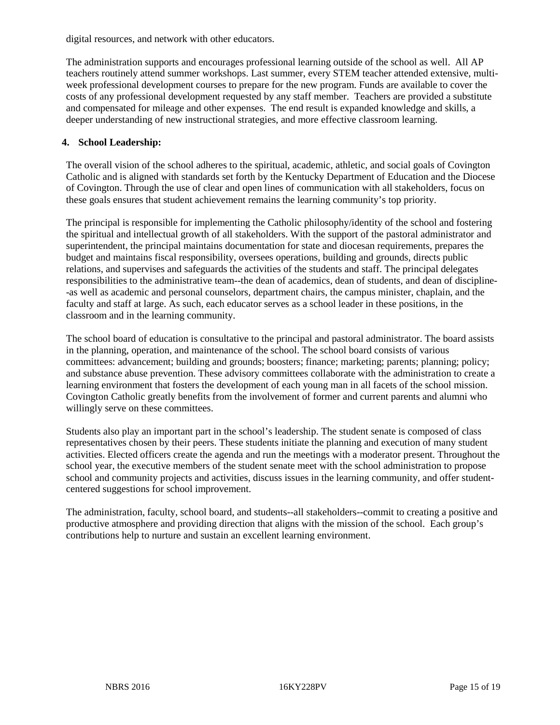digital resources, and network with other educators.

The administration supports and encourages professional learning outside of the school as well. All AP teachers routinely attend summer workshops. Last summer, every STEM teacher attended extensive, multiweek professional development courses to prepare for the new program. Funds are available to cover the costs of any professional development requested by any staff member. Teachers are provided a substitute and compensated for mileage and other expenses. The end result is expanded knowledge and skills, a deeper understanding of new instructional strategies, and more effective classroom learning.

#### **4. School Leadership:**

The overall vision of the school adheres to the spiritual, academic, athletic, and social goals of Covington Catholic and is aligned with standards set forth by the Kentucky Department of Education and the Diocese of Covington. Through the use of clear and open lines of communication with all stakeholders, focus on these goals ensures that student achievement remains the learning community's top priority.

The principal is responsible for implementing the Catholic philosophy/identity of the school and fostering the spiritual and intellectual growth of all stakeholders. With the support of the pastoral administrator and superintendent, the principal maintains documentation for state and diocesan requirements, prepares the budget and maintains fiscal responsibility, oversees operations, building and grounds, directs public relations, and supervises and safeguards the activities of the students and staff. The principal delegates responsibilities to the administrative team--the dean of academics, dean of students, and dean of discipline- -as well as academic and personal counselors, department chairs, the campus minister, chaplain, and the faculty and staff at large. As such, each educator serves as a school leader in these positions, in the classroom and in the learning community.

The school board of education is consultative to the principal and pastoral administrator. The board assists in the planning, operation, and maintenance of the school. The school board consists of various committees: advancement; building and grounds; boosters; finance; marketing; parents; planning; policy; and substance abuse prevention. These advisory committees collaborate with the administration to create a learning environment that fosters the development of each young man in all facets of the school mission. Covington Catholic greatly benefits from the involvement of former and current parents and alumni who willingly serve on these committees.

Students also play an important part in the school's leadership. The student senate is composed of class representatives chosen by their peers. These students initiate the planning and execution of many student activities. Elected officers create the agenda and run the meetings with a moderator present. Throughout the school year, the executive members of the student senate meet with the school administration to propose school and community projects and activities, discuss issues in the learning community, and offer studentcentered suggestions for school improvement.

The administration, faculty, school board, and students--all stakeholders--commit to creating a positive and productive atmosphere and providing direction that aligns with the mission of the school. Each group's contributions help to nurture and sustain an excellent learning environment.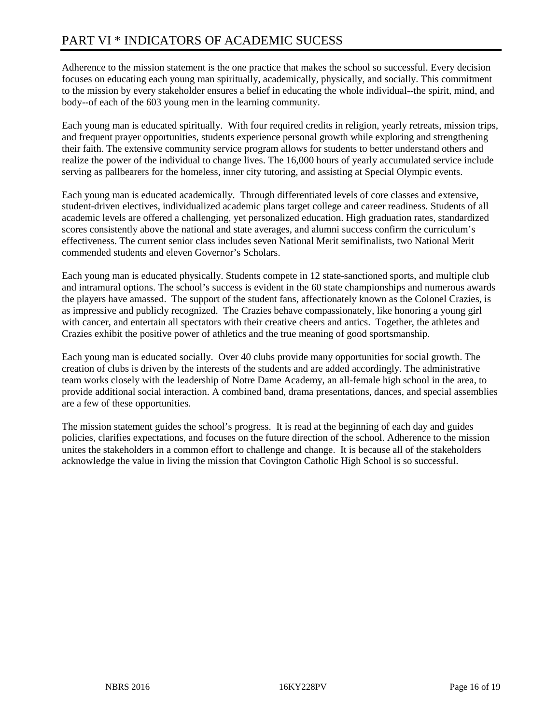Adherence to the mission statement is the one practice that makes the school so successful. Every decision focuses on educating each young man spiritually, academically, physically, and socially. This commitment to the mission by every stakeholder ensures a belief in educating the whole individual--the spirit, mind, and body--of each of the 603 young men in the learning community.

Each young man is educated spiritually. With four required credits in religion, yearly retreats, mission trips, and frequent prayer opportunities, students experience personal growth while exploring and strengthening their faith. The extensive community service program allows for students to better understand others and realize the power of the individual to change lives. The 16,000 hours of yearly accumulated service include serving as pallbearers for the homeless, inner city tutoring, and assisting at Special Olympic events.

Each young man is educated academically. Through differentiated levels of core classes and extensive, student-driven electives, individualized academic plans target college and career readiness. Students of all academic levels are offered a challenging, yet personalized education. High graduation rates, standardized scores consistently above the national and state averages, and alumni success confirm the curriculum's effectiveness. The current senior class includes seven National Merit semifinalists, two National Merit commended students and eleven Governor's Scholars.

Each young man is educated physically. Students compete in 12 state-sanctioned sports, and multiple club and intramural options. The school's success is evident in the 60 state championships and numerous awards the players have amassed. The support of the student fans, affectionately known as the Colonel Crazies, is as impressive and publicly recognized. The Crazies behave compassionately, like honoring a young girl with cancer, and entertain all spectators with their creative cheers and antics. Together, the athletes and Crazies exhibit the positive power of athletics and the true meaning of good sportsmanship.

Each young man is educated socially. Over 40 clubs provide many opportunities for social growth. The creation of clubs is driven by the interests of the students and are added accordingly. The administrative team works closely with the leadership of Notre Dame Academy, an all-female high school in the area, to provide additional social interaction. A combined band, drama presentations, dances, and special assemblies are a few of these opportunities.

The mission statement guides the school's progress. It is read at the beginning of each day and guides policies, clarifies expectations, and focuses on the future direction of the school. Adherence to the mission unites the stakeholders in a common effort to challenge and change. It is because all of the stakeholders acknowledge the value in living the mission that Covington Catholic High School is so successful.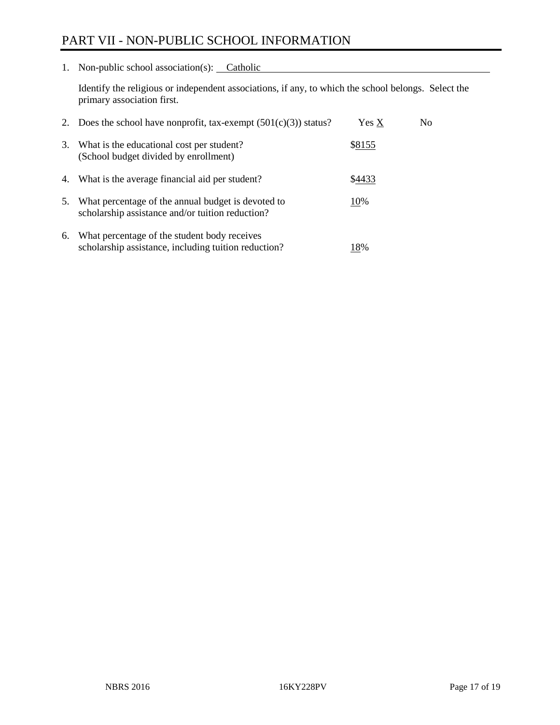# PART VII - NON-PUBLIC SCHOOL INFORMATION

1. Non-public school association(s): Catholic

Identify the religious or independent associations, if any, to which the school belongs. Select the primary association first.

| 2. | Does the school have nonprofit, tax-exempt $(501(c)(3))$ status?                                       | Yes X  | No. |
|----|--------------------------------------------------------------------------------------------------------|--------|-----|
| 3. | What is the educational cost per student?<br>(School budget divided by enrollment)                     | \$8155 |     |
| 4. | What is the average financial aid per student?                                                         | \$4433 |     |
| 5. | What percentage of the annual budget is devoted to<br>scholarship assistance and/or tuition reduction? | 10%    |     |
| 6. | What percentage of the student body receives<br>scholarship assistance, including tuition reduction?   | 18%    |     |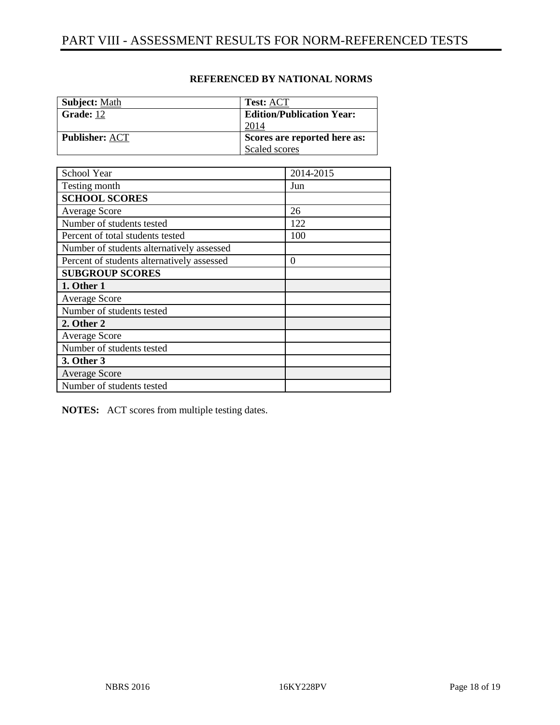| <b>Subject:</b> Math  | <b>Test: ACT</b>                 |
|-----------------------|----------------------------------|
| <b>Grade:</b> 12      | <b>Edition/Publication Year:</b> |
|                       | 2014                             |
| <b>Publisher: ACT</b> | Scores are reported here as:     |
|                       | Scaled scores                    |

### **REFERENCED BY NATIONAL NORMS**

| School Year                                | 2014-2015 |
|--------------------------------------------|-----------|
| Testing month                              | Jun       |
| <b>SCHOOL SCORES</b>                       |           |
| Average Score                              | 26        |
| Number of students tested                  | 122       |
| Percent of total students tested           | 100       |
| Number of students alternatively assessed  |           |
| Percent of students alternatively assessed | 0         |
| <b>SUBGROUP SCORES</b>                     |           |
| 1. Other 1                                 |           |
| <b>Average Score</b>                       |           |
| Number of students tested                  |           |
| 2. Other 2                                 |           |
| <b>Average Score</b>                       |           |
| Number of students tested                  |           |
| 3. Other 3                                 |           |
| <b>Average Score</b>                       |           |
| Number of students tested                  |           |

**NOTES:** ACT scores from multiple testing dates.